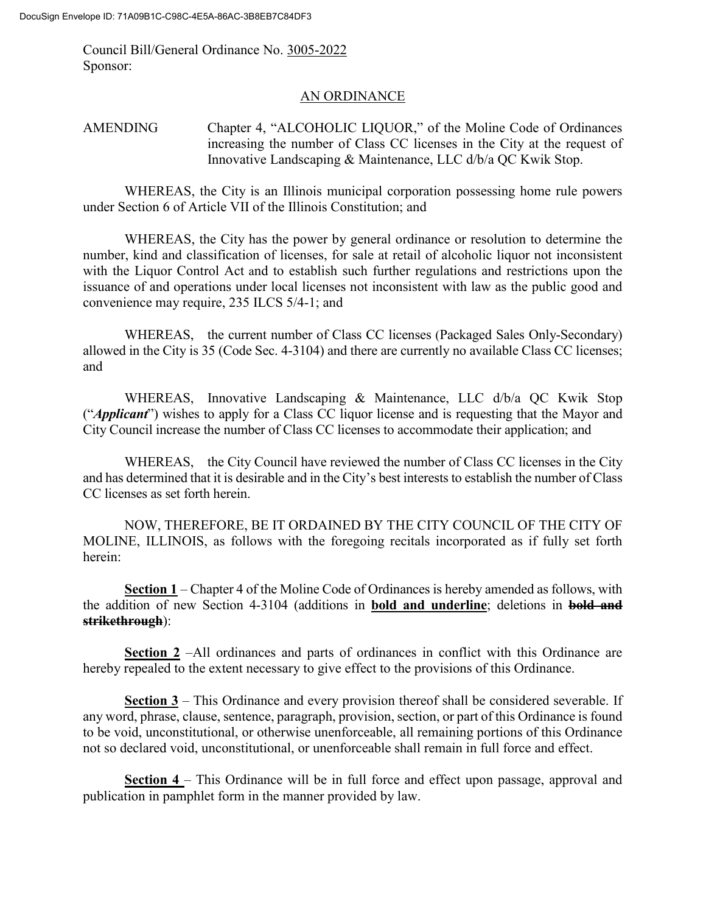Council Bill/General Ordinance No. 3005-2022 Sponsor:

## AN ORDINANCE

AMENDING Chapter 4, "ALCOHOLIC LIQUOR," of the Moline Code of Ordinances increasing the number of Class CC licenses in the City at the request of Innovative Landscaping & Maintenance, LLC d/b/a QC Kwik Stop.

WHEREAS, the City is an Illinois municipal corporation possessing home rule powers under Section 6 of Article VII of the Illinois Constitution; and

WHEREAS, the City has the power by general ordinance or resolution to determine the number, kind and classification of licenses, for sale at retail of alcoholic liquor not inconsistent with the Liquor Control Act and to establish such further regulations and restrictions upon the issuance of and operations under local licenses not inconsistent with law as the public good and convenience may require, 235 ILCS 5/4-1; and

WHEREAS, the current number of Class CC licenses (Packaged Sales Only-Secondary) allowed in the City is 35 (Code Sec. 4-3104) and there are currently no available Class CC licenses; and

WHEREAS, Innovative Landscaping & Maintenance, LLC d/b/a QC Kwik Stop ("*Applicant*") wishes to apply for a Class CC liquor license and is requesting that the Mayor and City Council increase the number of Class CC licenses to accommodate their application; and

WHEREAS, the City Council have reviewed the number of Class CC licenses in the City and has determined that it is desirable and in the City's best interests to establish the number of Class CC licenses as set forth herein.

NOW, THEREFORE, BE IT ORDAINED BY THE CITY COUNCIL OF THE CITY OF MOLINE, ILLINOIS, as follows with the foregoing recitals incorporated as if fully set forth herein:

**Section 1** – Chapter 4 of the Moline Code of Ordinances is hereby amended as follows, with the addition of new Section 4-3104 (additions in **bold and underline**; deletions in **bold and strikethrough**):

**Section 2** –All ordinances and parts of ordinances in conflict with this Ordinance are hereby repealed to the extent necessary to give effect to the provisions of this Ordinance.

**Section 3** – This Ordinance and every provision thereof shall be considered severable. If any word, phrase, clause, sentence, paragraph, provision, section, or part of this Ordinance is found to be void, unconstitutional, or otherwise unenforceable, all remaining portions of this Ordinance not so declared void, unconstitutional, or unenforceable shall remain in full force and effect.

**Section 4** – This Ordinance will be in full force and effect upon passage, approval and publication in pamphlet form in the manner provided by law.